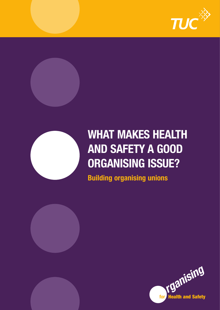





# **WHAT MAKES HEALTH AND SAFETY A GOOD ORGANISING ISSUE?**

**Building organising unions**

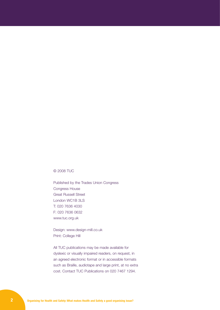#### © 2008 TUC

Published by the Trades Union Congress Congress House Great Russell Street London WC1B 3LS T: 020 7636 4030 F: 020 7636 0632 www.tuc.org.uk

Design: www.design-mill.co.uk Print: College Hill

All TUC publications may be made available for dyslexic or visually impaired readers, on request, in an agreed electronic format or in accessible formats such as Braille, audiotape and large print, at no extra cost. Contact TUC Publications on 020 7467 1294.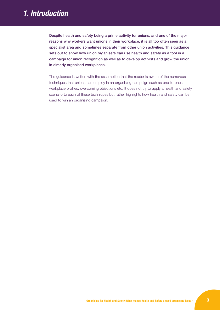# *1. Introduction*

Despite health and safety being a prime activity for unions, and one of the major reasons why workers want unions in their workplace, it is all too often seen as a specialist area and sometimes separate from other union activities. This guidance sets out to show how union organisers can use health and safety as a tool in a campaign for union recognition as well as to develop activists and grow the union in already organised workplaces.

The guidance is written with the assumption that the reader is aware of the numerous techniques that unions can employ in an organising campaign such as one-to-ones, workplace profiles, overcoming objections etc. It does not try to apply a health and safety scenario to each of these techniques but rather highlights how health and safety can be used to win an organising campaign.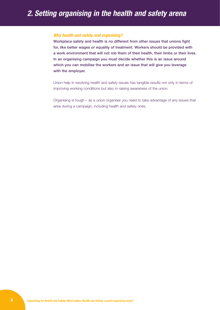# *Why health and safety and organising?*

Workplace safety and health is no different from other issues that unions fight for, like better wages or equality of treatment. Workers should be provided with a work environment that will not rob them of their health, their limbs or their lives. In an organising campaign you must decide whether this is an issue around which you can mobilise the workers and an issue that will give you leverage with the employer.

Union help in resolving health and safety issues has tangible results not only in terms of improving working conditions but also in raising awareness of the union.

Organising is tough – as a union organiser you need to take advantage of any issues that arise during a campaign, including health and safety ones.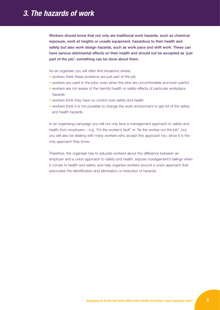# *3. The hazards of work*

Workers should know that not only are traditional work hazards, such as chemical exposure, work at heights or unsafe equipment, hazardous to their health and safety but also work design hazards, such as work pace and shift work. These can have serious detrimental effects on their health and should not be accepted as 'just part of the job'; something can be done about them.

As an organiser you will often find situations where:

- workers think these problems are just part of the job
- workers are used to the jobs, even when the jobs are uncomfortable and even painful
- workers are not aware of the harmful health or safety effects of particular workplace hazards
- workers think they have no control over safety and health
- workers think it is not possible to change the work environment to get rid of the safety and health hazards.

In an organising campaign you will not only face a management approach to safety and health from employers – e.g. "it's the worker's fault" or "fix the worker not the job", but you will also be dealing with many workers who accept this approach too, since it is the only approach they know.

Therefore, the organiser has to educate workers about the difference between an employer and a union approach to safety and health, expose management's failings when it comes to health and safety, and help organise workers around a union approach that advocates the identification and elimination or reduction of hazards.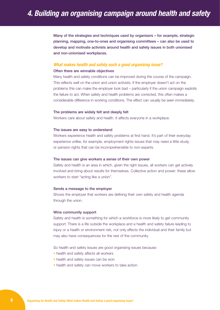Many of the strategies and techniques used by organisers – for example, strategic planning, mapping, one-to-ones and organising committees – can also be used to develop and motivate activists around health and safety issues in both unionised and non-unionised workplaces.

#### *What makes health and safety such a good organising issue?*

#### Often there are winnable objectives

Many health and safety conditions can be improved during the course of the campaign. This reflects well on the union and union activists. If the employer doesn't act on the problems this can make the employer look bad – particularly if the union campaign exploits the failure to act. When safety and health problems are corrected, this often makes a considerable difference in working conditions. The effect can usually be seen immediately.

#### The problems are widely felt and deeply felt

Workers care about safety and health. It affects everyone in a workplace.

#### The issues are easy to understand

Workers experience health and safety problems at first hand. It's part of their everyday experience unlike, for example, employment rights issues that may need a little study, or pension rights that can be incomprehensible to non-experts.

#### The issues can give workers a sense of their own power

Safety and health is an area in which, given the right issues, all workers can get actively involved and bring about results for themselves. Collective action and power: these allow workers to start "acting like a union".

#### Sends a message to the employer

Shows the employer that workers are defining their own safety and health agenda through the union.

#### Wins community support

Safety and health is something for which a workforce is more likely to get community support. There is a life outside the workplace and a health and safety failure leading to injury or a health or environment risk, not only effects the individual and their family but may also have consequences for the rest of the community.

So health and safety issues are good organising issues because:

- health and safety affects all workers
- health and safety issues can be won
- health and safety can move workers to take action.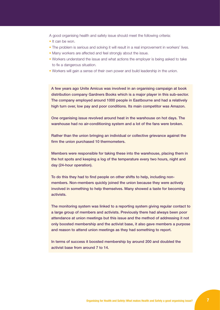A good organising health and safety issue should meet the following criteria:

- It can be won.
- The problem is serious and solving it will result in a real improvement in workers' lives.
- Many workers are affected and feel strongly about the issue.
- Workers understand the issue and what actions the employer is being asked to take to fix a dangerous situation.
- Workers will gain a sense of their own power and build leadership in the union.

A few years ago Unite Amicus was involved in an organising campaign at book distribution company Gardners Books which is a major player in this sub-sector. The company employed around 1000 people in Eastbourne and had a relatively high turn over, low pay and poor conditions. Its main competitor was Amazon.

One organising issue revolved around heat in the warehouse on hot days. The warehouse had no air-conditioning system and a lot of the fans were broken.

Rather than the union bringing an individual or collective grievance against the firm the union purchased 10 thermometers.

Members were responsible for taking these into the warehouse, placing them in the hot spots and keeping a log of the temperature every two hours, night and day (24-hour operation).

To do this they had to find people on other shifts to help, including nonmembers. Non-members quickly joined the union because they were actively involved in something to help themselves. Many showed a taste for becoming activists.

The monitoring system was linked to a reporting system giving regular contact to a large group of members and activists. Previously there had always been poor attendance at union meetings but this issue and the method of addressing it not only boosted membership and the activist base, it also gave members a purpose and reason to attend union meetings as they had something to report.

In terms of success it boosted membership by around 200 and doubled the activist base from around 7 to 14.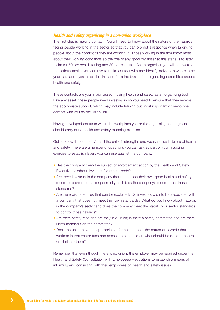# *Health and safety organising in a non-union workplace*

The first step is making contact. You will need to know about the nature of the hazards facing people working in the sector so that you can prompt a response when talking to people about the conditions they are working in. Those working in the firm know most about their working conditions so the role of any good organiser at this stage is to listen – aim for 70 per cent listening and 30 per cent talk. As an organiser you will be aware of the various tactics you can use to make contact with and identify individuals who can be your ears and eyes inside the firm and form the basis of an organising committee around health and safety.

These contacts are your major asset in using health and safety as an organising tool. Like any asset, these people need investing in so you need to ensure that they receive the appropriate support, which may include training but most importantly one-to-one contact with you as the union link.

Having developed contacts within the workplace you or the organising action group should carry out a health and safety mapping exercise.

Get to know the company's and the union's strengths and weaknesses in terms of health and safety. There are a number of questions you can ask as part of your mapping exercise to establish levers you can use against the company.

- Has the company been the subject of enforcement action by the Health and Safety Executive or other relevant enforcement body?
- Are there investors in the company that trade upon their own good health and safety record or environmental responsibility and does the company's record meet those standards?
- Are there discrepancies that can be exploited? Do investors wish to be associated with a company that does not meet their own standards? What do you know about hazards in the company's sector and does the company meet the statutory or sector standards to control those hazards?
- Are there safety reps and are they in a union; is there a safety committee and are there union members on the committee?
- Does the union have the appropriate information about the nature of hazards that workers in that sector face and access to expertise on what should be done to control or eliminate them?

Remember that even though there is no union, the employer may be required under the Health and Safety (Consultation with Employees) Regulations to establish a means of informing and consulting with their employees on health and safety issues.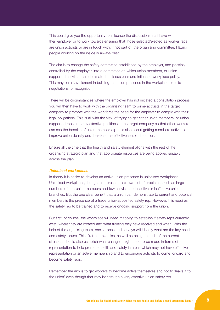This could give you the opportunity to influence the discussions staff have with their employer or to work towards ensuring that those selected/elected as worker reps are union activists or are in touch with, if not part of, the organising committee. Having people working on the inside is always best.

The aim is to change the safety committee established by the employer, and possibly controlled by the employer, into a committee on which union members, or union supported activists, can dominate the discussions and influence workplace policy. This may be a key element in building the union presence in the workplace prior to negotiations for recognition.

There will be circumstances where the employer has not initiated a consultation process. You will then have to work with the organising team to prime activists in the target company to promote with the workforce the need for the employer to comply with their legal obligations. This is all with the view of trying to get either union members, or union supported reps, into key effective positions in the target company so that other workers can see the benefits of union membership. It is also about getting members active to improve union density and therefore the effectiveness of the union.

Ensure all the time that the health and safety element aligns with the rest of the organising strategic plan and that appropriate resources are being applied suitably across the plan.

### *Unionised workplaces*

In theory it is easier to develop an active union presence in unionised workplaces. Unionised workplaces, though, can present their own set of problems, such as large numbers of non-union members and few activists and inactive or ineffective union branches. But the one clear benefit that a union can demonstrate to current and potential members is the presence of a trade union-appointed safety rep. However, this requires the safety rep to be trained and to receive ongoing support from the union.

But first, of course, the workplace will need mapping to establish if safety reps currently exist, where they are located and what training they have received and when. With the help of the organising team, one-to-ones and surveys will identify what are the key health and safety issues. This 'first-cut' exercise, as well as being an audit of the current situation, should also establish what changes might need to be made in terms of representation to help promote health and safety in areas which may not have effective representation or an active membership and to encourage activists to come forward and become safety reps.

Remember the aim is to get workers to become active themselves and not to 'leave it to the union' even though that may be through a very effective union safety rep.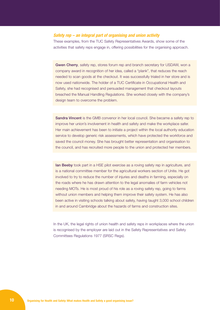# *Safety rep – an integral part of organising and union activity*

These examples, from the TUC Safety Representatives Awards, show some of the activities that safety reps engage in, offering possibilities for the organising approach.

**Gwen Cherry,** safety rep, stores forum rep and branch secretary for USDAW, won a company award in recognition of her idea, called a "plank", that reduces the reach needed to scan goods at the checkout. It was successfully trialed in her store and is now used nationwide. The holder of a TUC Certificate in Occupational Health and Safety, she had recognised and persuaded management that checkout layouts breached the Manual Handling Regulations. She worked closely with the company's design team to overcome the problem.

Sandra Vincent is the GMB convenor in her local council. She became a safety rep to improve her union's involvement in health and safety and make the workplace safer. Her main achievement has been to initiate a project within the local authority education service to develop generic risk assessments, which have protected the workforce and saved the council money. She has brought better representation and organisation to the council, and has recruited more people to the union and protected her members.

**Ian Beeby** took part in a HSE pilot exercise as a roving safety rep in agriculture, and is a national committee member for the agricultural workers section of Unite. He got involved to try to reduce the number of injuries and deaths in farming, especially on the roads where he has drawn attention to the legal anomalies of farm vehicles not needing MOTs. He is most proud of his role as a roving safety rep, going to farms without union members and helping them improve their safety system. He has also been active in visiting schools talking about safety, having taught 3,000 school children in and around Cambridge about the hazards of farms and construction sites.

In the UK, the legal rights of union health and safety reps in workplaces where the union is recognised by the employer are laid out in the Safety Representatives and Safety Committees Regulations 1977 (SRSC Regs).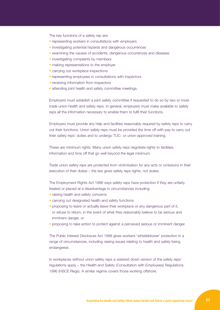The key functions of a safety rep are:

- representing workers in consultations with employers
- investigating potential hazards and dangerous occurrences
- examining the causes of accidents, dangerous occurrences and diseases
- investigating complaints by members
- making representations to the employer
- carrying out workplace inspections
- representing employees in consultations with inspectors
- receiving information from inspectors
- attending joint health and safety committee meetings.

Employers must establish a joint safety committee if requested to do so by two or more trade union health and safety reps. In general, employers must make available to safety reps all the information necessary to enable them to fulfil their functions.

Employers must provide any help and facilities reasonably required by safety reps to carry out their functions. Union safety reps must be provided the time off with pay to carry out their safety reps' duties and to undergo TUC- or union-approved training.

These are minimum rights. Many union safety reps negotiate rights to facilities, information and time off that go well beyond the legal minimum.

Trade union safety reps are protected from victimisation for any acts or omissions in their execution of their duties – the law gives safety reps rights, not duties.

The Employment Rights Act 1996 says safety reps have protection if they are unfairly treated or placed at a disadvantage in circumstances including:

- raising health and safety concerns
- carrying out designated health and safety functions
- proposing to leave or actually leave their workplace or any dangerous part of it, or refuse to return, in the event of what they reasonably believe to be serious and imminent danger, or
- proposing to take action to protect against a perceived serious or imminent danger.

The Public Interest Disclosure Act 1998 gives workers 'whistleblower' protection in a range of circumstances, including raising issues relating to health and safety being endangered.

In workplaces without union safety reps a watered down version of the safety reps' regulations apply – the Health and Safety (Consultation with Employees) Regulations 1996 (HSCE Regs). A similar regime covers those working offshore.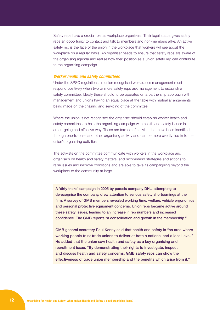Safety reps have a crucial role as workplace organisers. Their legal status gives safety reps an opportunity to contact and talk to members and non-members alike. An active safety rep is the face of the union in the workplace that workers will see about the workplace on a regular basis. An organiser needs to ensure that safety reps are aware of the organising agenda and realise how their position as a union safety rep can contribute to the organising campaign.

#### *Worker health and safety committees*

Under the SRSC regulations, in union recognised workplaces management must respond positively when two or more safety reps ask management to establish a safety committee. Ideally these should to be operated on a partnership approach with management and unions having an equal place at the table with mutual arrangements being made on the chairing and servicing of the committee.

Where the union is not recognised the organiser should establish worker health and safety committees to help the organizing campaign with health and safety issues in an on-going and effective way. These are formed of activists that have been identified through one-to-ones and other organising activity and can be more overtly tied in to the union's organising activities.

The activists on the committee communicate with workers in the workplace and organisers on health and safety matters, and recommend strategies and actions to raise issues and improve conditions and are able to take its campaigning beyond the workplace to the community at large.

A 'dirty tricks' campaign in 2005 by parcels company DHL, attempting to derecognise the company, drew attention to serious safety shortcomings at the firm. A survey of GMB members revealed working time, welfare, vehicle ergonomics and personal protective equipment concerns. Union reps became active around these safety issues, leading to an increase in rep numbers and increased confidence. The GMB reports "a consolidation and growth in the membership."

GMB general secretary Paul Kenny said that health and safety is "an area where working people trust trade unions to deliver at both a national and a local level." He added that the union saw health and safety as a key organising and recruitment issue. "By demonstrating their rights to investigate, inspect and discuss health and safety concerns, GMB safety reps can show the effectiveness of trade union membership and the benefits which arise from it."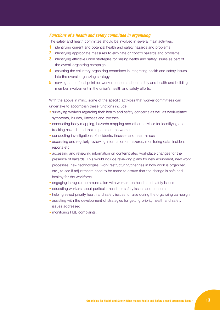# *Functions of a health and safety committee in organising*

The safety and health committee should be involved in several main activities:

- **1** identifying current and potential health and safety hazards and problems
- **2** identifying appropriate measures to eliminate or control hazards and problems
- **3** identifying effective union strategies for raising health and safety issues as part of the overall organizing campaign
- **4** assisting the voluntary organizing committee in integrating health and safety issues into the overall organizing strategy
- **5** serving as the focal point for worker concerns about safety and health and building member involvement in the union's health and safety efforts.

With the above in mind, some of the specific activities that worker committees can undertake to accomplish these functions include:

- surveying workers regarding their health and safety concerns as well as work-related symptoms, injuries, illnesses and stresses
- conducting body mapping, hazards mapping and other activities for identifying and tracking hazards and their impacts on the workers
- conducting investigations of incidents, illnesses and near misses
- accessing and regularly reviewing information on hazards, monitoring data, incident reports etc.
- accessing and reviewing information on contemplated workplace changes for the presence of hazards. This would include reviewing plans for new equipment, new work processes, new technologies, work restructuring/changes in how work is organized, etc., to see if adjustments need to be made to assure that the change is safe and healthy for the workforce
- engaging in regular communication with workers on health and safety issues
- educating workers about particular health or safety issues and concerns
- helping select priority health and safety issues to raise during the organizing campaign
- assisting with the development of strategies for getting priority health and safety issues addressed
- monitoring HSE complaints.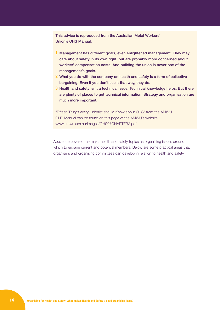This advice is reproduced from the Australian Metal Workers' Union's OHS Manual.

- **1** Management has different goals, even enlightened management. They may care about safety in its own right, but are probably more concerned about workers' compensation costs. And building the union is never one of the management's goals.
- **2** What you do with the company on health and safety is a form of collective bargaining. Even if you don't see it that way, they do.
- **3** Health and safety isn't a technical issue. Technical knowledge helps. But there are plenty of places to get technical information. Strategy and organisation are much more important.

"Fifteen Things every Unionist should Know about OHS" from the AMWU OHS Manual can be found on this page of the AMWU's website www.amwu.asn.au/images/OHS07CHAPTER2.pdf

Above are covered the major health and safety topics as organising issues around which to engage current and potential members. Below are some practical areas that organisers and organising committees can develop in relation to health and safety.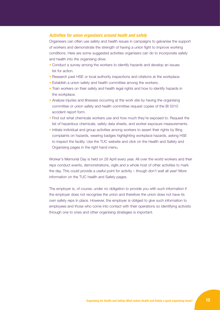# *Activities for union organisers around heath and safety*

Organisers can often use safety and health issues in campaigns to galvanise the support of workers and demonstrate the strength of having a union fight to improve working conditions. Here are some suggested activities organisers can do to incorporate safety and health into the organising drive:

- Conduct a survey among the workers to identify hazards and develop an issues list for action.
- Research past HSE or local authority inspections and citations at the workplace.
- Establish a union safety and health committee among the workers.
- Train workers on their safety and health legal rights and how to identify hazards in the workplace.
- Analyse injuries and illnesses occurring at the work site by having the organising committee or union safety and health committee request copies of the BI 5010 accident report form.
- Find out what chemicals workers use and how much they're exposed to. Request the list of hazardous chemicals, safety data sheets, and worker exposure measurements.
- Initiate individual and group activities among workers to assert their rights by filing complaints on hazards, wearing badges highlighting workplace hazards, asking HSE to inspect the facility. Use the TUC website and click on the Health and Safety and Organising pages in the right hand menu.

Worker's Memorial Day is held on 28 April every year. All over the world workers and their reps conduct events, demonstrations, vigils and a whole host of other activities to mark the day. This could provide a useful point for activity – though don't wait all year! More information on the TUC health and Safety pages.

The employer is, of course, under no obligation to provide you with such information if the employer does not recognise the union and therefore the union does not have its own safety reps in place. However, the employer is obliged to give such information to employees and those who come into contact with their operations so identifying activists through one to ones and other organising strategies is important.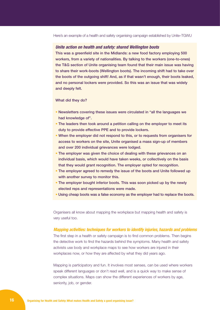# *Unite action on health and safety: shared Wellington boots*

This was a greenfield site in the Midlands: a new food factory employing 500 workers, from a variety of nationalities. By talking to the workers (one-to-ones) the T&G section of Unite organising team found that their main issue was having to share their work-boots (Wellington boots). The incoming shift had to take over the boots of the outgoing shift! And, as if that wasn't enough, their boots leaked, and no personal lockers were provided. So this was an issue that was widely and deeply felt.

#### What did they do?

- Newsletters covering these issues were circulated in "all the languages we had knowledge of".
- The leaders then took around a petition calling on the employer to meet its duty to provide effective PPE and to provide lockers.
- When the employer did not respond to this, or to requests from organisers for access to workers on the site, Unite organised a mass sign-up of members and over 200 individual grievances were lodged.
- The employer was given the choice of dealing with these grievances on an individual basis, which would have taken weeks, or collectively on the basis that they would grant recognition. The employer opted for recognition.
- The employer agreed to remedy the issue of the boots and Unite followed up with another survey to monitor this.
- The employer bought inferior boots. This was soon picked up by the newly elected reps and representations were made.
- Using cheap boots was a false economy as the employer had to replace the boots.

Organisers all know about mapping the workplace but mapping health and safety is very useful too.

#### *Mapping activities: techniques for workers to identify injuries, hazards and problems*

The first step in a health or safety campaign is to find common problems. Then begins the detective work to find the hazards behind the symptoms. Many health and safety activists use body and workplace maps to see how workers are injured in their workplaces now, or how they are affected by what they did years ago.

Mapping is participatory and fun. It involves most senses, can be used where workers speak different languages or don't read well, and is a quick way to make sense of complex situations. Maps can show the different experiences of workers by age, seniority, job, or gender.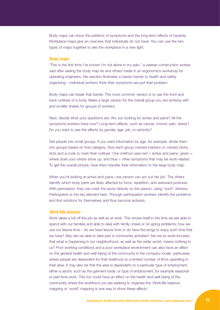Body maps can show the patterns of symptoms and the long-term effects of hazards. Workplace maps give an overview that individuals do not have. You can use the two types of maps together to see the workplace in a new light.

### *Body maps*

"This is the first time I've known I'm not alone in my pain," a veteran construction worker said after seeing the body map he and others made in an ergonomics workshop for operating engineers. His reaction illustrates a classic barrier to health and safety organizing – individual workers think their symptoms are just their problem.

Body maps can break that barrier. The most common version is to use the front and back outlines of a body. Make a large version for the overall group you are working with and smaller sheets for groups of workers.

Next, decide what your questions are. Are you looking for aches and pains? All the symptoms workers have now? Long-term effects, such as cancer, chronic pain, stress? Do you want to see the effects by gender, age, job, or seniority?

Get people into small groups. If you want information by age, for example, divide them into groups based on that category. Give each group colored markers or colored sticky dots and a code to mark their outlines. One method uses  $red =$  aches and pains, green  $=$ where does your stress show up, and  $blue = other$  symptoms that may be work-related. To get the overall picture, have them transfer their information to the large body map.

When you're looking at aches and pains, one person can act out her job. The others identify which body parts are likely affected by force, repetition, and awkward postures. With permission, they can mark the spots directly on the person, using "ouch" stickers. Participation is the key element here. Through participation workers identify the problems and find solutions for themselves and thus become activists.

#### *Work/life balance*

Work takes a toll off the job as well as at work. This shows itself in the time we are able to spend with our families and able to deal with family crisies or on-going problems; how we use our leisure time – do we have leisure time or do have the enrgy to enjoy such time that we have? Also are we able to take part in community activities? Are we so work-focused that what is happening in our neighborhood, as well as the wider world, means nothing to us? Poor working conditions and a poor workplace environment can also have an effect on the general health and well-being of the community in the company locale, particularly where people are dependent for their livelihood on a limited number of firms operating in their area. It may also be that the area is dependent on a particular type of employment, either a sector, such as the garment trade, or type of employment, for example seasonal or part-time work. This too could have an effect on the health and well being of the community where the workforce you are seeking to organise live. Work/life balance mapping or 'world' mapping is one way to show these effects.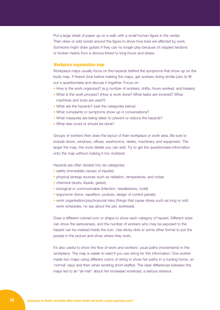Put a large sheet of paper up on a wall, with a small human figure in the center. Then draw or add words around the figure to show how lives are affected by work. Someone might draw guitars if they can no longer play because of crippled tendons or broken hearts from a divorce linked to long hours and stress.

#### *Workplace organisation map*

Workplace maps usually focus on the hazards behind the symptoms that show up on the body map. If there's time before making the maps, get workers doing similar jobs to fill out a questionnaire and discuss it together. Focus on:

- How is the work organized? (e.g number of workers, shifts, hours worked, and breaks)
- What is the work process? (How is work done? What tasks are involved? What machines and tools are used?)
- What are the hazards? (use the categories below)
- What complaints or symptoms show up in conversations?
- What measures are being taken to prevent or reduce the hazards?
- What else could or should be done?

Groups of workers then draw the layout of their workplace or work area. Be sure to include doors, windows, offices, washrooms, desks, machinery, and equipment. The larger the map, the more details you can add. Try to get the questionnaire information onto the map without making it too cluttered.

Hazards are often divided into six categories:

- safety (immediate causes of injuries)
- physical (energy sources such as radiation, temperature, and noise)
- chemical (dusts, liquids, gases)
- biological or communicable (infection, needlesticks, mold)
- ergonomic (force, repetition, posture, design of control panels)
- work organisation/psychosocial risks (things that cause stress such as long or odd work schedules, no say about the job, workload).

Draw a different colored icon or shape to show each category of hazard. Different sizes can show the seriousness, and the number of workers who may be exposed to the hazard can be marked inside the icon. Use sticky dots or some other format to put the people in the picture and show where they work.

It's also useful to show the flow of work and workers' usual paths (movements) in the workplace. The map is easier to read if you use string for this information. One worker made two maps using different colors of string to show her paths in a nursing home, on 'normal' days and then when working short-staffed. The clear differences between the maps led to an "ah-hah" about her increased workload, a serious stressor.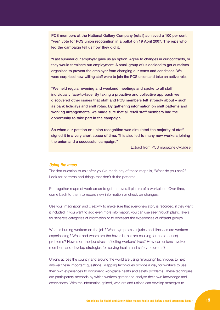PCS members at the National Gallery Company (retail) achieved a 100 per cent "yes" vote for PCS union recognition in a ballot on 19 April 2007. The reps who led the campaign tell us how they did it.

"Last summer our employer gave us an option. Agree to changes in our contracts, or they would terminate our employment. A small group of us decided to get ourselves organised to prevent the employer from changing our terms and conditions. We were surprised how willing staff were to join the PCS union and take an active role.

"We held regular evening and weekend meetings and spoke to all staff individually face-to-face. By taking a proactive and collective approach we discovered other issues that staff and PCS members felt strongly about – such as bank holidays and shift rotas. By gathering information on shift patterns and working arrangements, we made sure that all retail staff members had the opportunity to take part in the campaign.

So when our petition on union recognition was circulated the majority of staff signed it in a very short space of time. This also led to many new workers joining the union and a successful campaign."

Extract from PCS magazine *Organise*

## *Using the maps*

The first question to ask after you've made any of these maps is, "What do you see?" Look for patterns and things that don't fit the patterns.

Put together maps of work areas to get the overall picture of a workplace. Over time, come back to them to record new information or check on changes.

Use your imagination and creativity to make sure that everyone's story is recorded, if they want it included. If you want to add even more information, you can use see-through plastic layers for separate categories of information or to represent the experiences of different groups.

What is hurting workers on the job? What symptoms, injuries and illnesses are workers experiencing? What and where are the hazards that are causing (or could cause) problems? How is on-the-job stress affecting workers' lives? How can unions involve members and develop strategies for solving health and safety problems?

Unions across the country and around the world are using "mapping" techniques to help answer these important questions. Mapping techniques provide a way for workers to use their own experiences to document workplace health and safety problems. These techniques are participatory methods by which workers gather and analyse their own knowledge and experiences. With the information gained, workers and unions can develop strategies to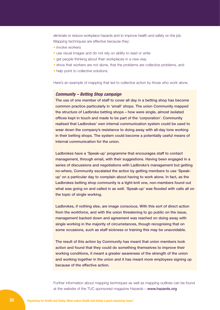eliminate or reduce workplace hazards and to improve health and safety on the job. Mapping techniques are effective because they:

- involve workers
- use visual images and do not rely on ability to read or write
- get people thinking about their workplaces in a new way
- show that workers are not alone, that the problems are collective problems, and
- help point to collective solutions.

Here's an example of mapping that led to collective action by those who work alone.

### *Community – Betting Shop campaign*

The use of one member of staff to cover all day in a betting shop has become common practice particularly in 'small' shops. The union Community mapped the structure of Ladbroke betting shops – how were single, almost isolated offices kept in touch and made to be part of the 'corporation'. Community realised that Ladbrokes' own internal communication system could be used to wear down the company's resistance to doing away with all-day lone working in their betting shops. The system could become a potentially useful means of internal communication for the union.

Ladbrokes have a 'Speak-up' programme that encourages staff to contact management, through email, with their suggestions. Having been engaged in a series of discussions and negotiations with Ladbroke's management but getting no-where, Community escalated the action by getting members to use 'Speakup' on a particular day to complain about having to work alone. In fact, as the Ladbrokes betting shop community is a tight-knit one, non-members found out what was going on and called in as well. 'Speak-up' was flooded with calls all on the topic of single working.

Ladbrokes, if nothing else, are image conscious. With this sort of direct action from the workforce, and with the union threatening to go public on the issue, management backed down and agreement was reached on doing away with single working in the majority of circumstances, though recognising that on some occasions, such as staff sickness or training this may be unavoidable.

The result of this action by Community has meant that union members took action and found that they could do something themselves to improve their working conditions, it meant a greater awareness of the strength of the union and working together in the union and it has meant more employees signing up because of the effective action.

Further information about mapping techniques as well as mapping outlines can be found at the website of the TUC sponsored magazine Hazards – www.hazards.org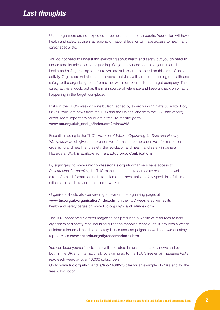# *Last thoughts*

Union organisers are not expected to be health and safety experts. Your union will have health and safety advisers at regional or national level or will have access to health and safety specialists.

You do not need to understand everything about health and safety but you do need to understand its relevance to organising. So you may need to talk to your union about health and safety training to ensure you are suitably up to speed on this area of union activity. Organisers will also need to recruit activists with an understanding of health and safety to the organising team from either within or external to the target company. The safety activists would act as the main source of reference and keep a check on what is happening in the target workplace.

Risks in the TUC's weekly online bulletin, edited by award winning *Hazards* editor Rory O'Neil. You'll get news from the TUC and the Unions (and from the HSE and others) direct. More importantly you'll get it free. To register go to: www.tuc.org.uk/h\_and \_s/index.cfm?mins=242

Essential reading is the TUC's *Hazards at Work – Organising for Safe and Healthy Workplaces* which gives comprehensive information comprehensive information on organising and health and safety, the legislation and health and safety in general. Hazards at Work is available from www.tuc.org.uk/publications

By signing-up to www.unionprofessionals.org.uk organisers have access to *Researching Companies*, the TUC manual on strategic corporate research as well as a raft of other information useful to union organisers, union safety specialists, full-time officers, researchers and other union workers.

Organisers should also be keeping an eye on the organising pages at www.tuc.org.uk/organisation/index.cfm on the TUC website as well as its health and safety pages on www.tuc.org.uk/h\_and\_s/index.cfm

The TUC-sponsored *Hazards* magazine has produced a wealth of resources to help organisers and safety reps including guides to mapping techniques. It provides a wealth of information on all health and safety issues and campaigns as well as news of safety rep activities www.hazards.org/diyresearch/index.htm

You can keep yourself up-to-date with the latest in health and safety news and events both in the UK and Internationally by signing up to the TUC's free email magazine *Risks*, read each week by over 16,000 subscribers.

Go to www.tuc.org.uk/h\_and\_s/tuc-14092-f0.cfm for an example of *Risks* and for the free subscription.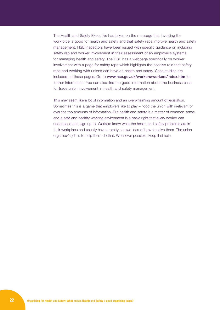The Health and Safety Executive has taken on the message that involving the workforce is good for health and safety and that safety reps improve health and safety management. HSE inspectors have been issued with specific guidance on including safety rep and worker involvement in their assessment of an employer's systems for managing health and safety. The HSE has a webpage specifically on worker involvement with a page for safety reps which highlights the positive role that safety reps and working with unions can have on health and safety. Case studies are included on these pages. Go to www.hse.gov.uk/workers/workers/index.htm for further information. You can also find the good information about the business case for trade union involvement in health and safety management.

This may seem like a lot of information and an overwhelming amount of legislation. Sometimes this is a game that employers like to play – flood the union with irrelevant or over the top amounts of information. But health and safety is a matter of common sense and a safe and healthy working environment is a basic right that every worker can understand and sign up to. Workers know what the health and safety problems are in their workplace and usually have a pretty shrewd idea of how to solve them. The union organiser's job is to help them do that. Whenever possible, keep it simple.